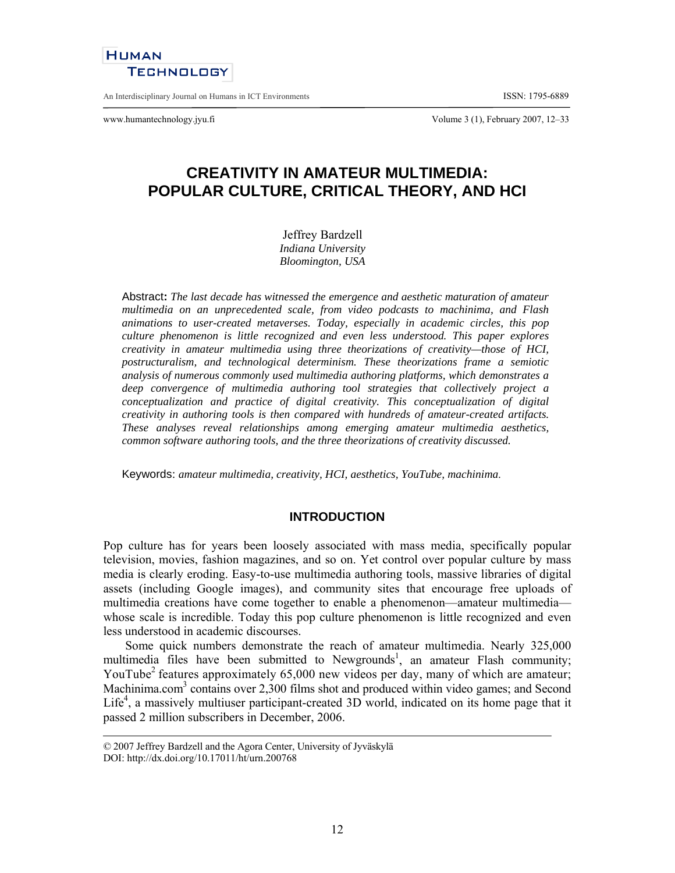# **HUMAN TECHNOLOGY**

An Interdisciplinary Journal on Humans in ICT Environments **ISSN: 1795-6889** 

www.humantechnology.jyu.fi Volume 3 (1), February 2007, 12–33

# **CREATIVITY IN AMATEUR MULTIMEDIA: POPULAR CULTURE, CRITICAL THEORY, AND HCI**

Jeffrey Bardzell *Indiana University* 

*Bloomington, USA* 

Abstract**:** *The last decade has witnessed the emergence and aesthetic maturation of amateur multimedia on an unprecedented scale, from video podcasts to machinima, and Flash animations to user-created metaverses. Today, especially in academic circles, this pop culture phenomenon is little recognized and even less understood. This paper explores creativity in amateur multimedia using three theorizations of creativity—those of HCI, postructuralism, and technological determinism. These theorizations frame a semiotic analysis of numerous commonly used multimedia authoring platforms, which demonstrates a deep convergence of multimedia authoring tool strategies that collectively project a conceptualization and practice of digital creativity. This conceptualization of digital creativity in authoring tools is then compared with hundreds of amateur-created artifacts. These analyses reveal relationships among emerging amateur multimedia aesthetics, common software authoring tools, and the three theorizations of creativity discussed.*

Keywords: *amateur multimedia, creativity, HCI, aesthetics, YouTube, machinima*.

## **INTRODUCTION**

Pop culture has for years been loosely associated with mass media, specifically popular television, movies, fashion magazines, and so on. Yet control over popular culture by mass media is clearly eroding. Easy-to-use multimedia authoring tools, massive libraries of digital assets (including Google images), and community sites that encourage free uploads of multimedia creations have come together to enable a phenomenon—amateur multimedia whose scale is incredible. Today this pop culture phenomenon is little recognized and even less understood in academic discourses.

Some quick numbers demonstrate the reach of amateur multimedia. Nearly 325,000 multimedia files have been submitted to Newgrounds<sup>1</sup>, an amateur Flash community; YouTube<sup>2</sup> features approximately  $65,000$  new videos per day, many of which are amateur; Machinima.com<sup>3</sup> contains over 2,300 films shot and produced within video games; and Second Life<sup>4</sup>, a massively multiuser participant-created  $3D$  world, indicated on its home page that it passed 2 million subscribers in December, 2006.

<sup>© 2007</sup> Jeffrey Bardzell and the Agora Center, University of Jyväskylä DOI: http://dx.doi.org/10.17011/ht/urn.200768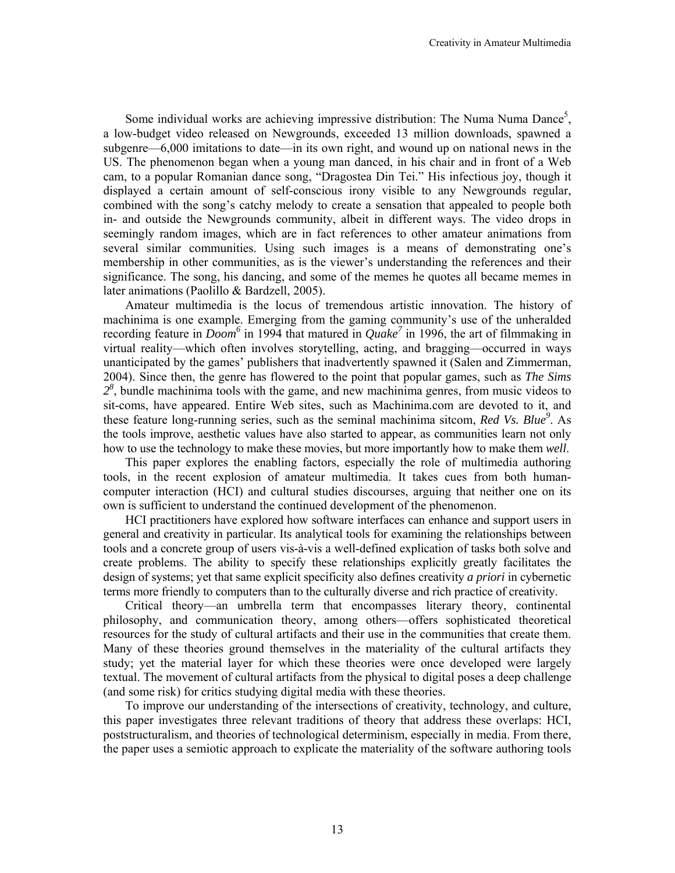Some individual works are achieving impressive distribution: The Numa Numa Dance<sup>5</sup>, a low-budget video released on Newgrounds, exceeded 13 million downloads, spawned a subgenre—6,000 imitations to date—in its own right, and wound up on national news in the US. The phenomenon began when a young man danced, in his chair and in front of a Web cam, to a popular Romanian dance song, "Dragostea Din Tei." His infectious joy, though it displayed a certain amount of self-conscious irony visible to any Newgrounds regular, combined with the song's catchy melody to create a sensation that appealed to people both in- and outside the Newgrounds community, albeit in different ways. The video drops in seemingly random images, which are in fact references to other amateur animations from several similar communities. Using such images is a means of demonstrating one's membership in other communities, as is the viewer's understanding the references and their significance. The song, his dancing, and some of the memes he quotes all became memes in later animations (Paolillo & Bardzell, 2005).

Amateur multimedia is the locus of tremendous artistic innovation. The history of machinima is one example. Emerging from the gaming community's use of the unheralded recording feature in *Doom*<sup>6</sup> in 1994 that matured in *Quake*<sup>7</sup> in 1996, the art of filmmaking in virtual reality—which often involves storytelling, acting, and bragging—occurred in ways unanticipated by the games' publishers that inadvertently spawned it (Salen and Zimmerman, 2004). Since then, the genre has flowered to the point that popular games, such as *The Sims 28* , bundle machinima tools with the game, and new machinima genres, from music videos to sit-coms, have appeared. Entire Web sites, such as Machinima.com are devoted to it, and these feature long-running series, such as the seminal machinima sitcom, *Red Vs. Blue*<sup>9</sup>. As the tools improve, aesthetic values have also started to appear, as communities learn not only how to use the technology to make these movies, but more importantly how to make them *well*.

This paper explores the enabling factors, especially the role of multimedia authoring tools, in the recent explosion of amateur multimedia. It takes cues from both humancomputer interaction (HCI) and cultural studies discourses, arguing that neither one on its own is sufficient to understand the continued development of the phenomenon.

HCI practitioners have explored how software interfaces can enhance and support users in general and creativity in particular. Its analytical tools for examining the relationships between tools and a concrete group of users vis-à-vis a well-defined explication of tasks both solve and create problems. The ability to specify these relationships explicitly greatly facilitates the design of systems; yet that same explicit specificity also defines creativity *a priori* in cybernetic terms more friendly to computers than to the culturally diverse and rich practice of creativity.

Critical theory—an umbrella term that encompasses literary theory, continental philosophy, and communication theory, among others—offers sophisticated theoretical resources for the study of cultural artifacts and their use in the communities that create them. Many of these theories ground themselves in the materiality of the cultural artifacts they study; yet the material layer for which these theories were once developed were largely textual. The movement of cultural artifacts from the physical to digital poses a deep challenge (and some risk) for critics studying digital media with these theories.

To improve our understanding of the intersections of creativity, technology, and culture, this paper investigates three relevant traditions of theory that address these overlaps: HCI, poststructuralism, and theories of technological determinism, especially in media. From there, the paper uses a semiotic approach to explicate the materiality of the software authoring tools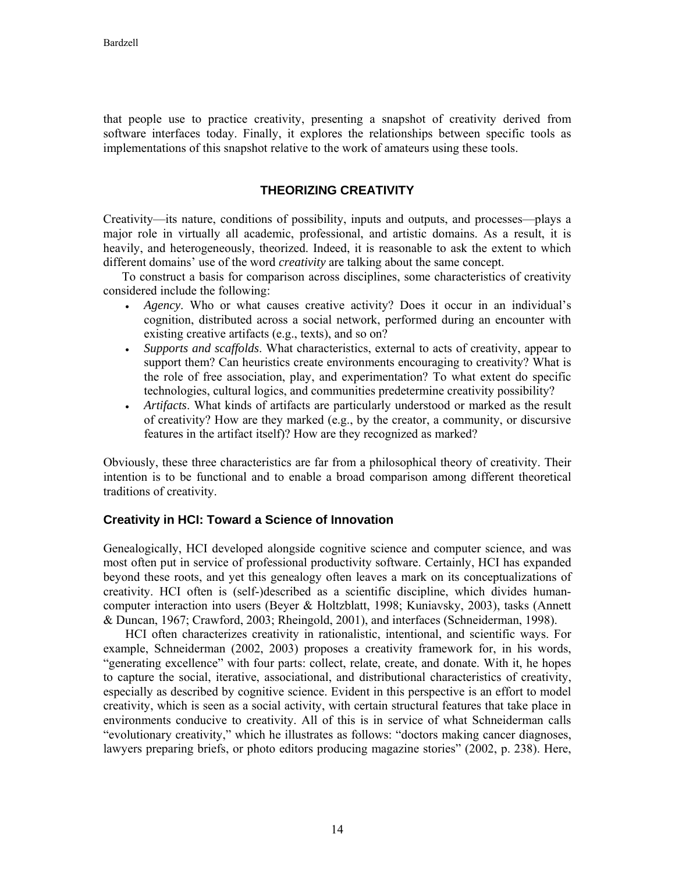that people use to practice creativity, presenting a snapshot of creativity derived from software interfaces today. Finally, it explores the relationships between specific tools as implementations of this snapshot relative to the work of amateurs using these tools.

# **THEORIZING CREATIVITY**

Creativity—its nature, conditions of possibility, inputs and outputs, and processes—plays a major role in virtually all academic, professional, and artistic domains. As a result, it is heavily, and heterogeneously, theorized. Indeed, it is reasonable to ask the extent to which different domains' use of the word *creativity* are talking about the same concept.

To construct a basis for comparison across disciplines, some characteristics of creativity considered include the following:

- *Agency*. Who or what causes creative activity? Does it occur in an individual's cognition, distributed across a social network, performed during an encounter with existing creative artifacts (e.g., texts), and so on?
- *Supports and scaffolds*. What characteristics, external to acts of creativity, appear to support them? Can heuristics create environments encouraging to creativity? What is the role of free association, play, and experimentation? To what extent do specific technologies, cultural logics, and communities predetermine creativity possibility?
- *Artifacts*. What kinds of artifacts are particularly understood or marked as the result of creativity? How are they marked (e.g., by the creator, a community, or discursive features in the artifact itself)? How are they recognized as marked?

Obviously, these three characteristics are far from a philosophical theory of creativity. Their intention is to be functional and to enable a broad comparison among different theoretical traditions of creativity.

## **Creativity in HCI: Toward a Science of Innovation**

Genealogically, HCI developed alongside cognitive science and computer science, and was most often put in service of professional productivity software. Certainly, HCI has expanded beyond these roots, and yet this genealogy often leaves a mark on its conceptualizations of creativity. HCI often is (self-)described as a scientific discipline, which divides humancomputer interaction into users (Beyer & Holtzblatt, 1998; Kuniavsky, 2003), tasks (Annett & Duncan, 1967; Crawford, 2003; Rheingold, 2001), and interfaces (Schneiderman, 1998).

HCI often characterizes creativity in rationalistic, intentional, and scientific ways. For example, Schneiderman (2002, 2003) proposes a creativity framework for, in his words, "generating excellence" with four parts: collect, relate, create, and donate. With it, he hopes to capture the social, iterative, associational, and distributional characteristics of creativity, especially as described by cognitive science. Evident in this perspective is an effort to model creativity, which is seen as a social activity, with certain structural features that take place in environments conducive to creativity. All of this is in service of what Schneiderman calls "evolutionary creativity," which he illustrates as follows: "doctors making cancer diagnoses, lawyers preparing briefs, or photo editors producing magazine stories" (2002, p. 238). Here,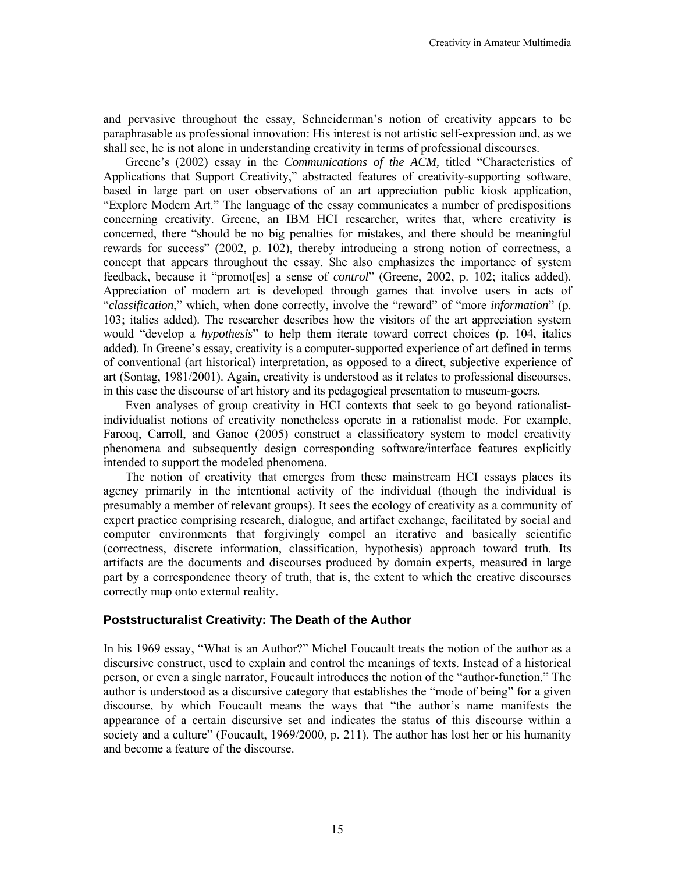and pervasive throughout the essay, Schneiderman's notion of creativity appears to be paraphrasable as professional innovation: His interest is not artistic self-expression and, as we shall see, he is not alone in understanding creativity in terms of professional discourses.

Greene's (2002) essay in the *Communications of the ACM,* titled "Characteristics of Applications that Support Creativity," abstracted features of creativity-supporting software, based in large part on user observations of an art appreciation public kiosk application, "Explore Modern Art." The language of the essay communicates a number of predispositions concerning creativity. Greene, an IBM HCI researcher, writes that, where creativity is concerned, there "should be no big penalties for mistakes, and there should be meaningful rewards for success" (2002, p. 102), thereby introducing a strong notion of correctness, a concept that appears throughout the essay. She also emphasizes the importance of system feedback, because it "promot[es] a sense of *control*" (Greene, 2002, p. 102; italics added). Appreciation of modern art is developed through games that involve users in acts of "*classification*," which, when done correctly, involve the "reward" of "more *information*" (p. 103; italics added). The researcher describes how the visitors of the art appreciation system would "develop a *hypothesis*" to help them iterate toward correct choices (p. 104, italics added). In Greene's essay, creativity is a computer-supported experience of art defined in terms of conventional (art historical) interpretation, as opposed to a direct, subjective experience of art (Sontag, 1981/2001). Again, creativity is understood as it relates to professional discourses, in this case the discourse of art history and its pedagogical presentation to museum-goers.

Even analyses of group creativity in HCI contexts that seek to go beyond rationalistindividualist notions of creativity nonetheless operate in a rationalist mode. For example, Farooq, Carroll, and Ganoe (2005) construct a classificatory system to model creativity phenomena and subsequently design corresponding software/interface features explicitly intended to support the modeled phenomena.

The notion of creativity that emerges from these mainstream HCI essays places its agency primarily in the intentional activity of the individual (though the individual is presumably a member of relevant groups). It sees the ecology of creativity as a community of expert practice comprising research, dialogue, and artifact exchange, facilitated by social and computer environments that forgivingly compel an iterative and basically scientific (correctness, discrete information, classification, hypothesis) approach toward truth. Its artifacts are the documents and discourses produced by domain experts, measured in large part by a correspondence theory of truth, that is, the extent to which the creative discourses correctly map onto external reality.

## **Poststructuralist Creativity: The Death of the Author**

In his 1969 essay, "What is an Author?" Michel Foucault treats the notion of the author as a discursive construct, used to explain and control the meanings of texts. Instead of a historical person, or even a single narrator, Foucault introduces the notion of the "author-function." The author is understood as a discursive category that establishes the "mode of being" for a given discourse, by which Foucault means the ways that "the author's name manifests the appearance of a certain discursive set and indicates the status of this discourse within a society and a culture" (Foucault, 1969/2000, p. 211). The author has lost her or his humanity and become a feature of the discourse.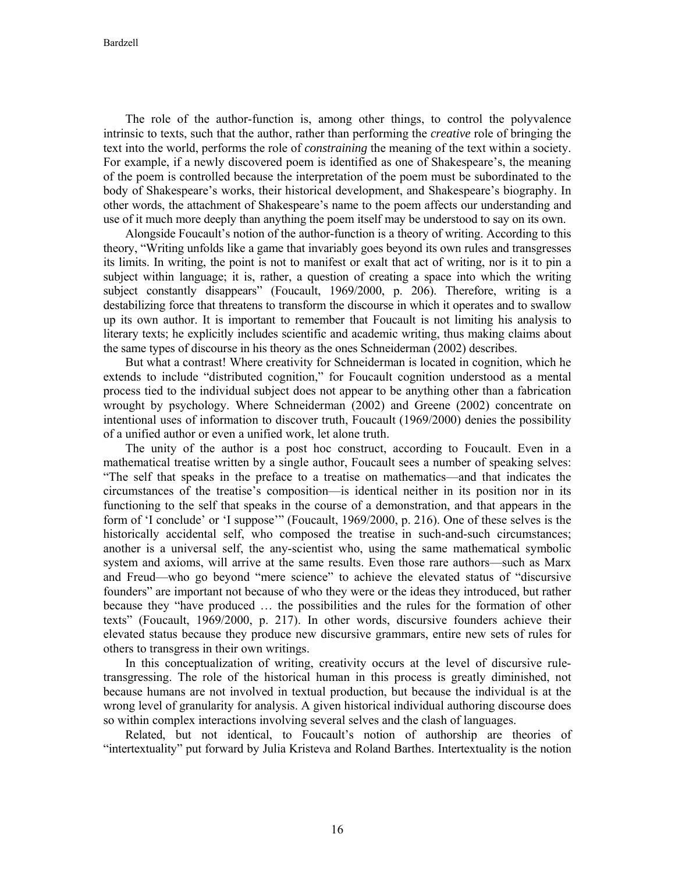The role of the author-function is, among other things, to control the polyvalence intrinsic to texts, such that the author, rather than performing the *creative* role of bringing the text into the world, performs the role of *constraining* the meaning of the text within a society. For example, if a newly discovered poem is identified as one of Shakespeare's, the meaning of the poem is controlled because the interpretation of the poem must be subordinated to the body of Shakespeare's works, their historical development, and Shakespeare's biography. In other words, the attachment of Shakespeare's name to the poem affects our understanding and use of it much more deeply than anything the poem itself may be understood to say on its own.

Alongside Foucault's notion of the author-function is a theory of writing. According to this theory, "Writing unfolds like a game that invariably goes beyond its own rules and transgresses its limits. In writing, the point is not to manifest or exalt that act of writing, nor is it to pin a subject within language; it is, rather, a question of creating a space into which the writing subject constantly disappears" (Foucault, 1969/2000, p. 206). Therefore, writing is a destabilizing force that threatens to transform the discourse in which it operates and to swallow up its own author. It is important to remember that Foucault is not limiting his analysis to literary texts; he explicitly includes scientific and academic writing, thus making claims about the same types of discourse in his theory as the ones Schneiderman (2002) describes.

But what a contrast! Where creativity for Schneiderman is located in cognition, which he extends to include "distributed cognition," for Foucault cognition understood as a mental process tied to the individual subject does not appear to be anything other than a fabrication wrought by psychology. Where Schneiderman (2002) and Greene (2002) concentrate on intentional uses of information to discover truth, Foucault (1969/2000) denies the possibility of a unified author or even a unified work, let alone truth.

The unity of the author is a post hoc construct, according to Foucault. Even in a mathematical treatise written by a single author, Foucault sees a number of speaking selves: "The self that speaks in the preface to a treatise on mathematics—and that indicates the circumstances of the treatise's composition—is identical neither in its position nor in its functioning to the self that speaks in the course of a demonstration, and that appears in the form of 'I conclude' or 'I suppose'" (Foucault, 1969/2000, p. 216). One of these selves is the historically accidental self, who composed the treatise in such-and-such circumstances; another is a universal self, the any-scientist who, using the same mathematical symbolic system and axioms, will arrive at the same results. Even those rare authors—such as Marx and Freud—who go beyond "mere science" to achieve the elevated status of "discursive founders" are important not because of who they were or the ideas they introduced, but rather because they "have produced … the possibilities and the rules for the formation of other texts" (Foucault, 1969/2000, p. 217). In other words, discursive founders achieve their elevated status because they produce new discursive grammars, entire new sets of rules for others to transgress in their own writings.

In this conceptualization of writing, creativity occurs at the level of discursive ruletransgressing. The role of the historical human in this process is greatly diminished, not because humans are not involved in textual production, but because the individual is at the wrong level of granularity for analysis. A given historical individual authoring discourse does so within complex interactions involving several selves and the clash of languages.

Related, but not identical, to Foucault's notion of authorship are theories of "intertextuality" put forward by Julia Kristeva and Roland Barthes. Intertextuality is the notion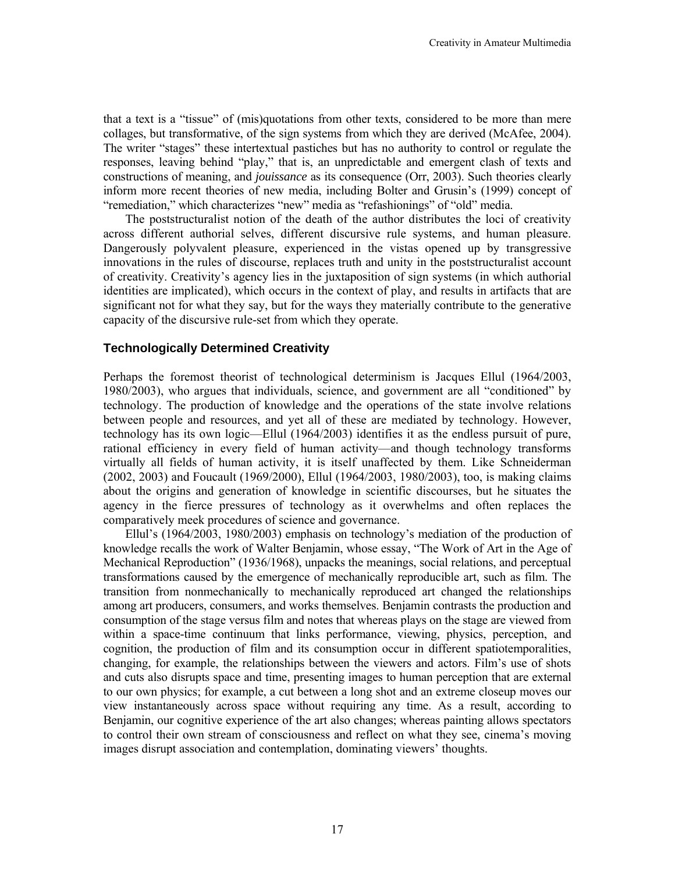that a text is a "tissue" of (mis)quotations from other texts, considered to be more than mere collages, but transformative, of the sign systems from which they are derived (McAfee, 2004). The writer "stages" these intertextual pastiches but has no authority to control or regulate the responses, leaving behind "play," that is, an unpredictable and emergent clash of texts and constructions of meaning, and *jouissance* as its consequence (Orr, 2003). Such theories clearly inform more recent theories of new media, including Bolter and Grusin's (1999) concept of "remediation," which characterizes "new" media as "refashionings" of "old" media.

The poststructuralist notion of the death of the author distributes the loci of creativity across different authorial selves, different discursive rule systems, and human pleasure. Dangerously polyvalent pleasure, experienced in the vistas opened up by transgressive innovations in the rules of discourse, replaces truth and unity in the poststructuralist account of creativity. Creativity's agency lies in the juxtaposition of sign systems (in which authorial identities are implicated), which occurs in the context of play, and results in artifacts that are significant not for what they say, but for the ways they materially contribute to the generative capacity of the discursive rule-set from which they operate.

#### **Technologically Determined Creativity**

Perhaps the foremost theorist of technological determinism is Jacques Ellul (1964/2003, 1980/2003), who argues that individuals, science, and government are all "conditioned" by technology. The production of knowledge and the operations of the state involve relations between people and resources, and yet all of these are mediated by technology. However, technology has its own logic—Ellul (1964/2003) identifies it as the endless pursuit of pure, rational efficiency in every field of human activity—and though technology transforms virtually all fields of human activity, it is itself unaffected by them. Like Schneiderman (2002, 2003) and Foucault (1969/2000), Ellul (1964/2003, 1980/2003), too, is making claims about the origins and generation of knowledge in scientific discourses, but he situates the agency in the fierce pressures of technology as it overwhelms and often replaces the comparatively meek procedures of science and governance.

Ellul's (1964/2003, 1980/2003) emphasis on technology's mediation of the production of knowledge recalls the work of Walter Benjamin, whose essay, "The Work of Art in the Age of Mechanical Reproduction" (1936/1968), unpacks the meanings, social relations, and perceptual transformations caused by the emergence of mechanically reproducible art, such as film. The transition from nonmechanically to mechanically reproduced art changed the relationships among art producers, consumers, and works themselves. Benjamin contrasts the production and consumption of the stage versus film and notes that whereas plays on the stage are viewed from within a space-time continuum that links performance, viewing, physics, perception, and cognition, the production of film and its consumption occur in different spatiotemporalities, changing, for example, the relationships between the viewers and actors. Film's use of shots and cuts also disrupts space and time, presenting images to human perception that are external to our own physics; for example, a cut between a long shot and an extreme closeup moves our view instantaneously across space without requiring any time. As a result, according to Benjamin, our cognitive experience of the art also changes; whereas painting allows spectators to control their own stream of consciousness and reflect on what they see, cinema's moving images disrupt association and contemplation, dominating viewers' thoughts.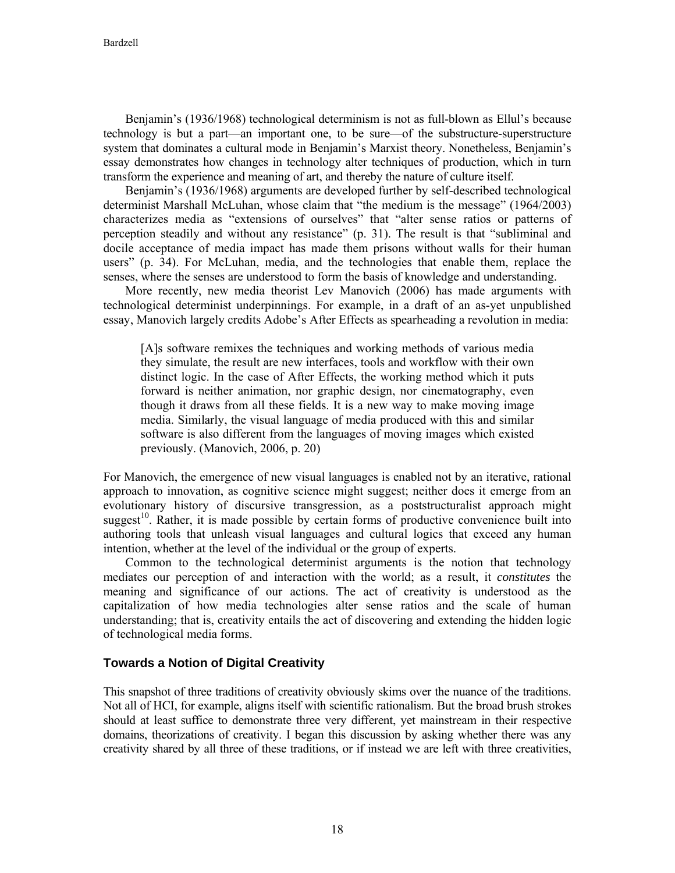Benjamin's (1936/1968) technological determinism is not as full-blown as Ellul's because technology is but a part—an important one, to be sure—of the substructure-superstructure system that dominates a cultural mode in Benjamin's Marxist theory. Nonetheless, Benjamin's essay demonstrates how changes in technology alter techniques of production, which in turn transform the experience and meaning of art, and thereby the nature of culture itself.

Benjamin's (1936/1968) arguments are developed further by self-described technological determinist Marshall McLuhan, whose claim that "the medium is the message" (1964/2003) characterizes media as "extensions of ourselves" that "alter sense ratios or patterns of perception steadily and without any resistance" (p. 31). The result is that "subliminal and docile acceptance of media impact has made them prisons without walls for their human users" (p. 34). For McLuhan, media, and the technologies that enable them, replace the senses, where the senses are understood to form the basis of knowledge and understanding.

More recently, new media theorist Lev Manovich (2006) has made arguments with technological determinist underpinnings. For example, in a draft of an as-yet unpublished essay, Manovich largely credits Adobe's After Effects as spearheading a revolution in media:

[A]s software remixes the techniques and working methods of various media they simulate, the result are new interfaces, tools and workflow with their own distinct logic. In the case of After Effects, the working method which it puts forward is neither animation, nor graphic design, nor cinematography, even though it draws from all these fields. It is a new way to make moving image media. Similarly, the visual language of media produced with this and similar software is also different from the languages of moving images which existed previously. (Manovich, 2006, p. 20)

For Manovich, the emergence of new visual languages is enabled not by an iterative, rational approach to innovation, as cognitive science might suggest; neither does it emerge from an evolutionary history of discursive transgression, as a poststructuralist approach might suggest<sup>10</sup>. Rather, it is made possible by certain forms of productive convenience built into authoring tools that unleash visual languages and cultural logics that exceed any human intention, whether at the level of the individual or the group of experts.

Common to the technological determinist arguments is the notion that technology mediates our perception of and interaction with the world; as a result, it *constitutes* the meaning and significance of our actions. The act of creativity is understood as the capitalization of how media technologies alter sense ratios and the scale of human understanding; that is, creativity entails the act of discovering and extending the hidden logic of technological media forms.

## **Towards a Notion of Digital Creativity**

This snapshot of three traditions of creativity obviously skims over the nuance of the traditions. Not all of HCI, for example, aligns itself with scientific rationalism. But the broad brush strokes should at least suffice to demonstrate three very different, yet mainstream in their respective domains, theorizations of creativity. I began this discussion by asking whether there was any creativity shared by all three of these traditions, or if instead we are left with three creativities,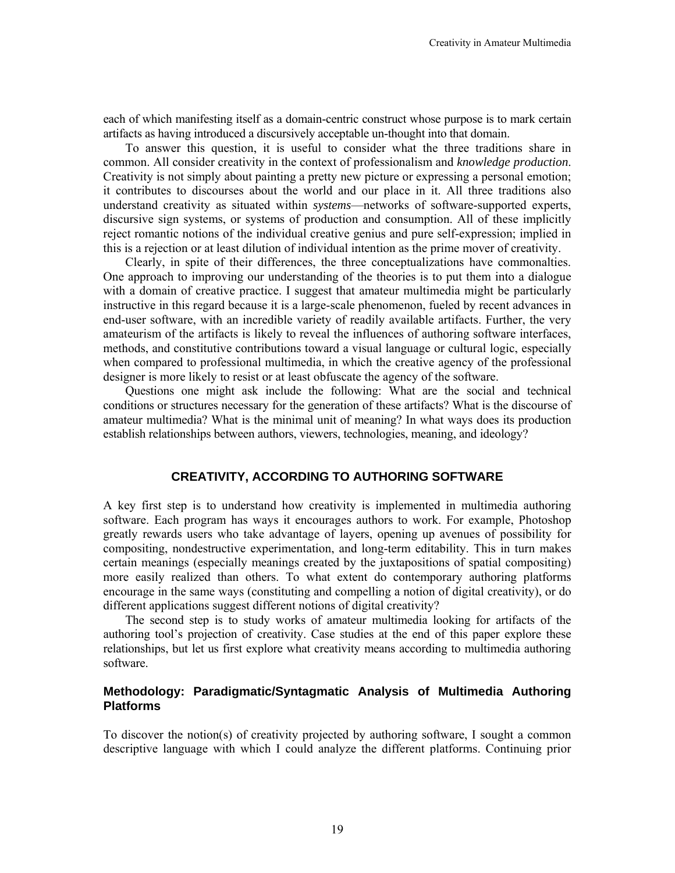each of which manifesting itself as a domain-centric construct whose purpose is to mark certain artifacts as having introduced a discursively acceptable un-thought into that domain.

To answer this question, it is useful to consider what the three traditions share in common. All consider creativity in the context of professionalism and *knowledge production*. Creativity is not simply about painting a pretty new picture or expressing a personal emotion; it contributes to discourses about the world and our place in it. All three traditions also understand creativity as situated within *systems*—networks of software-supported experts, discursive sign systems, or systems of production and consumption. All of these implicitly reject romantic notions of the individual creative genius and pure self-expression; implied in this is a rejection or at least dilution of individual intention as the prime mover of creativity.

Clearly, in spite of their differences, the three conceptualizations have commonalties. One approach to improving our understanding of the theories is to put them into a dialogue with a domain of creative practice. I suggest that amateur multimedia might be particularly instructive in this regard because it is a large-scale phenomenon, fueled by recent advances in end-user software, with an incredible variety of readily available artifacts. Further, the very amateurism of the artifacts is likely to reveal the influences of authoring software interfaces, methods, and constitutive contributions toward a visual language or cultural logic, especially when compared to professional multimedia, in which the creative agency of the professional designer is more likely to resist or at least obfuscate the agency of the software.

Questions one might ask include the following: What are the social and technical conditions or structures necessary for the generation of these artifacts? What is the discourse of amateur multimedia? What is the minimal unit of meaning? In what ways does its production establish relationships between authors, viewers, technologies, meaning, and ideology?

#### **CREATIVITY, ACCORDING TO AUTHORING SOFTWARE**

A key first step is to understand how creativity is implemented in multimedia authoring software. Each program has ways it encourages authors to work. For example, Photoshop greatly rewards users who take advantage of layers, opening up avenues of possibility for compositing, nondestructive experimentation, and long-term editability. This in turn makes certain meanings (especially meanings created by the juxtapositions of spatial compositing) more easily realized than others. To what extent do contemporary authoring platforms encourage in the same ways (constituting and compelling a notion of digital creativity), or do different applications suggest different notions of digital creativity?

The second step is to study works of amateur multimedia looking for artifacts of the authoring tool's projection of creativity. Case studies at the end of this paper explore these relationships, but let us first explore what creativity means according to multimedia authoring software.

## **Methodology: Paradigmatic/Syntagmatic Analysis of Multimedia Authoring Platforms**

To discover the notion(s) of creativity projected by authoring software, I sought a common descriptive language with which I could analyze the different platforms. Continuing prior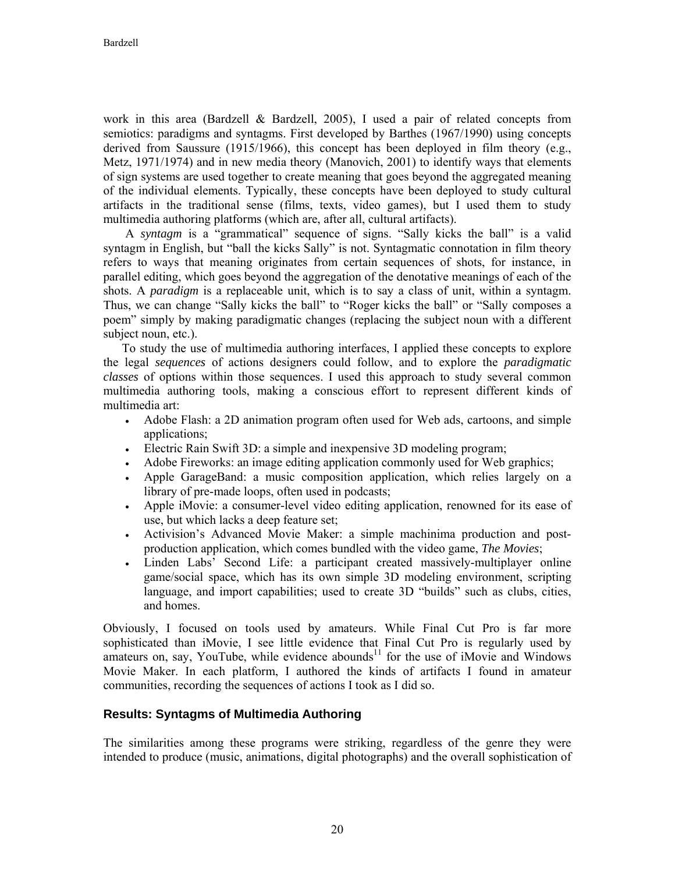work in this area (Bardzell & Bardzell, 2005), I used a pair of related concepts from semiotics: paradigms and syntagms. First developed by Barthes (1967/1990) using concepts derived from Saussure (1915/1966), this concept has been deployed in film theory (e.g., Metz, 1971/1974) and in new media theory (Manovich, 2001) to identify ways that elements of sign systems are used together to create meaning that goes beyond the aggregated meaning of the individual elements. Typically, these concepts have been deployed to study cultural artifacts in the traditional sense (films, texts, video games), but I used them to study multimedia authoring platforms (which are, after all, cultural artifacts).

A *syntagm* is a "grammatical" sequence of signs. "Sally kicks the ball" is a valid syntagm in English, but "ball the kicks Sally" is not. Syntagmatic connotation in film theory refers to ways that meaning originates from certain sequences of shots, for instance, in parallel editing, which goes beyond the aggregation of the denotative meanings of each of the shots. A *paradigm* is a replaceable unit, which is to say a class of unit, within a syntagm. Thus, we can change "Sally kicks the ball" to "Roger kicks the ball" or "Sally composes a poem" simply by making paradigmatic changes (replacing the subject noun with a different subject noun, etc.).

To study the use of multimedia authoring interfaces, I applied these concepts to explore the legal *sequences* of actions designers could follow, and to explore the *paradigmatic classes* of options within those sequences. I used this approach to study several common multimedia authoring tools, making a conscious effort to represent different kinds of multimedia art:

- Adobe Flash: a 2D animation program often used for Web ads, cartoons, and simple applications;
- Electric Rain Swift 3D: a simple and inexpensive 3D modeling program;
- Adobe Fireworks: an image editing application commonly used for Web graphics;
- Apple GarageBand: a music composition application, which relies largely on a library of pre-made loops, often used in podcasts;
- Apple iMovie: a consumer-level video editing application, renowned for its ease of use, but which lacks a deep feature set;
- Activision's Advanced Movie Maker: a simple machinima production and postproduction application, which comes bundled with the video game, *The Movies*;
- Linden Labs' Second Life: a participant created massively-multiplayer online game/social space, which has its own simple 3D modeling environment, scripting language, and import capabilities; used to create 3D "builds" such as clubs, cities, and homes.

Obviously, I focused on tools used by amateurs. While Final Cut Pro is far more sophisticated than iMovie, I see little evidence that Final Cut Pro is regularly used by amateurs on, say, YouTube, while evidence abounds $11$  for the use of iMovie and Windows Movie Maker. In each platform, I authored the kinds of artifacts I found in amateur communities, recording the sequences of actions I took as I did so.

## **Results: Syntagms of Multimedia Authoring**

The similarities among these programs were striking, regardless of the genre they were intended to produce (music, animations, digital photographs) and the overall sophistication of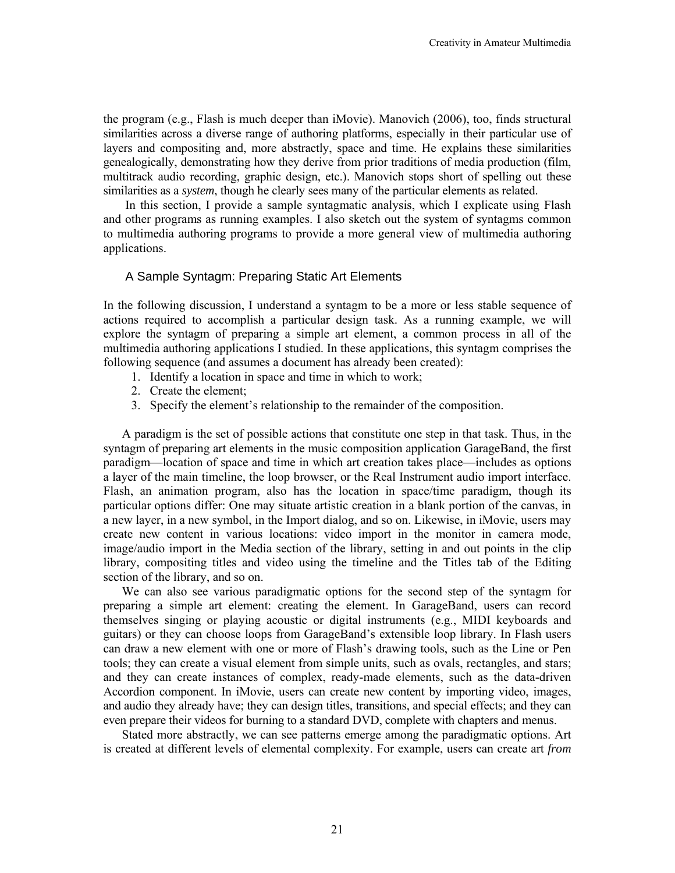the program (e.g., Flash is much deeper than iMovie). Manovich (2006), too, finds structural similarities across a diverse range of authoring platforms, especially in their particular use of layers and compositing and, more abstractly, space and time. He explains these similarities genealogically, demonstrating how they derive from prior traditions of media production (film, multitrack audio recording, graphic design, etc.). Manovich stops short of spelling out these similarities as a *system*, though he clearly sees many of the particular elements as related.

In this section, I provide a sample syntagmatic analysis, which I explicate using Flash and other programs as running examples. I also sketch out the system of syntagms common to multimedia authoring programs to provide a more general view of multimedia authoring applications.

## A Sample Syntagm: Preparing Static Art Elements

In the following discussion, I understand a syntagm to be a more or less stable sequence of actions required to accomplish a particular design task. As a running example, we will explore the syntagm of preparing a simple art element, a common process in all of the multimedia authoring applications I studied. In these applications, this syntagm comprises the following sequence (and assumes a document has already been created):

- 1. Identify a location in space and time in which to work;
- 2. Create the element;
- 3. Specify the element's relationship to the remainder of the composition.

A paradigm is the set of possible actions that constitute one step in that task. Thus, in the syntagm of preparing art elements in the music composition application GarageBand, the first paradigm—location of space and time in which art creation takes place—includes as options a layer of the main timeline, the loop browser, or the Real Instrument audio import interface. Flash, an animation program, also has the location in space/time paradigm, though its particular options differ: One may situate artistic creation in a blank portion of the canvas, in a new layer, in a new symbol, in the Import dialog, and so on. Likewise, in iMovie, users may create new content in various locations: video import in the monitor in camera mode, image/audio import in the Media section of the library, setting in and out points in the clip library, compositing titles and video using the timeline and the Titles tab of the Editing section of the library, and so on.

We can also see various paradigmatic options for the second step of the syntagm for preparing a simple art element: creating the element. In GarageBand, users can record themselves singing or playing acoustic or digital instruments (e.g., MIDI keyboards and guitars) or they can choose loops from GarageBand's extensible loop library. In Flash users can draw a new element with one or more of Flash's drawing tools, such as the Line or Pen tools; they can create a visual element from simple units, such as ovals, rectangles, and stars; and they can create instances of complex, ready-made elements, such as the data-driven Accordion component. In iMovie, users can create new content by importing video, images, and audio they already have; they can design titles, transitions, and special effects; and they can even prepare their videos for burning to a standard DVD, complete with chapters and menus.

Stated more abstractly, we can see patterns emerge among the paradigmatic options. Art is created at different levels of elemental complexity. For example, users can create art *from*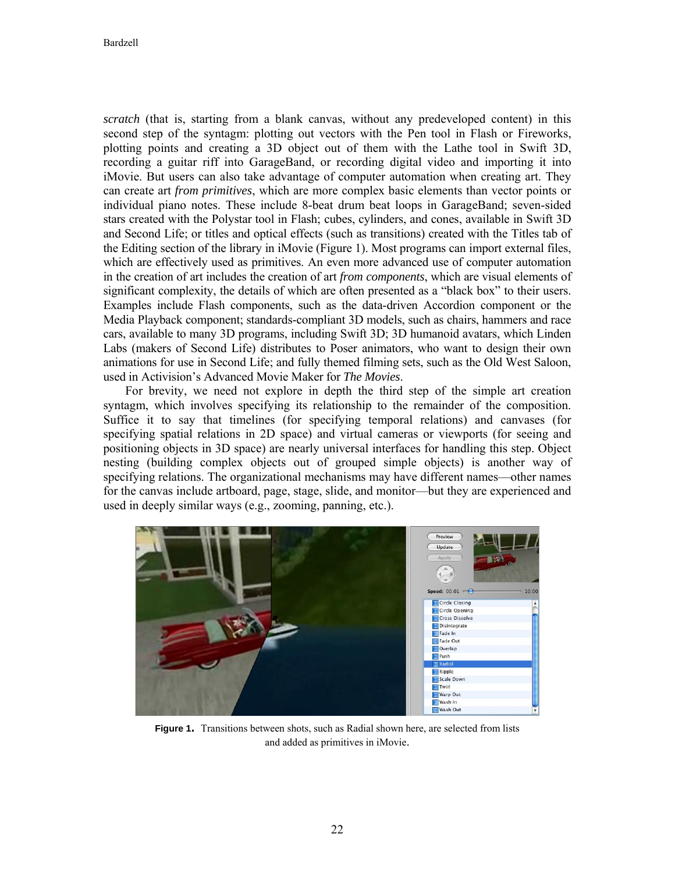*scratch* (that is, starting from a blank canvas, without any predeveloped content) in this second step of the syntagm: plotting out vectors with the Pen tool in Flash or Fireworks, plotting points and creating a 3D object out of them with the Lathe tool in Swift 3D, recording a guitar riff into GarageBand, or recording digital video and importing it into iMovie. But users can also take advantage of computer automation when creating art. They can create art *from primitives*, which are more complex basic elements than vector points or individual piano notes. These include 8-beat drum beat loops in GarageBand; seven-sided stars created with the Polystar tool in Flash; cubes, cylinders, and cones, available in Swift 3D and Second Life; or titles and optical effects (such as transitions) created with the Titles tab of the Editing section of the library in iMovie (Figure 1). Most programs can import external files, which are effectively used as primitives. An even more advanced use of computer automation in the creation of art includes the creation of art *from components*, which are visual elements of significant complexity, the details of which are often presented as a "black box" to their users. Examples include Flash components, such as the data-driven Accordion component or the Media Playback component; standards-compliant 3D models, such as chairs, hammers and race cars, available to many 3D programs, including Swift 3D; 3D humanoid avatars, which Linden Labs (makers of Second Life) distributes to Poser animators, who want to design their own animations for use in Second Life; and fully themed filming sets, such as the Old West Saloon, used in Activision's Advanced Movie Maker for *The Movies*.

For brevity, we need not explore in depth the third step of the simple art creation syntagm, which involves specifying its relationship to the remainder of the composition. Suffice it to say that timelines (for specifying temporal relations) and canvases (for specifying spatial relations in 2D space) and virtual cameras or viewports (for seeing and positioning objects in 3D space) are nearly universal interfaces for handling this step. Object nesting (building complex objects out of grouped simple objects) is another way of specifying relations. The organizational mechanisms may have different names—other names for the canvas include artboard, page, stage, slide, and monitor—but they are experienced and used in deeply similar ways (e.g., zooming, panning, etc.).



**Figure 1.** Transitions between shots, such as Radial shown here, are selected from lists and added as primitives in iMovie.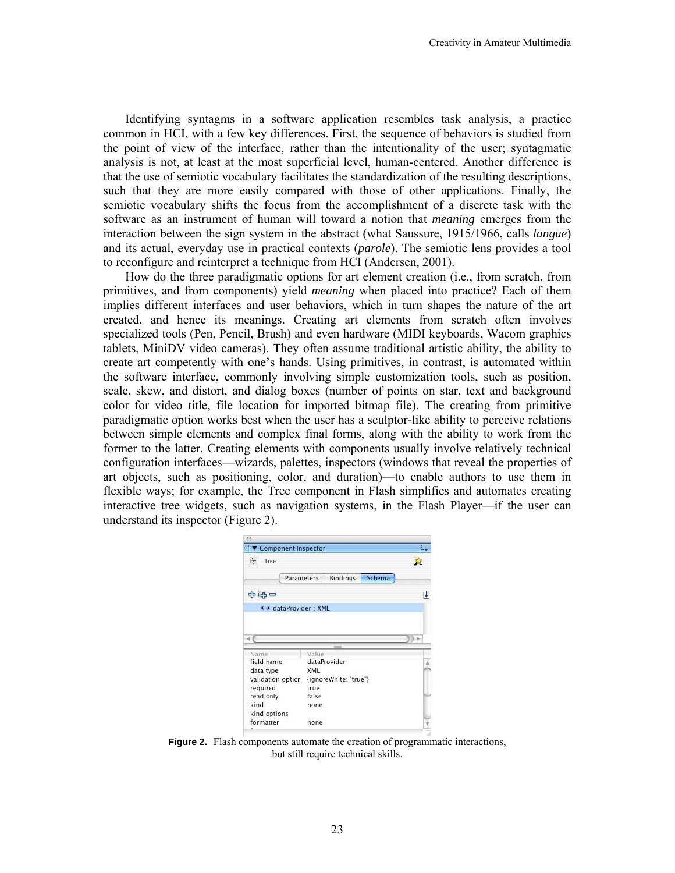Identifying syntagms in a software application resembles task analysis, a practice common in HCI, with a few key differences. First, the sequence of behaviors is studied from the point of view of the interface, rather than the intentionality of the user; syntagmatic analysis is not, at least at the most superficial level, human-centered. Another difference is that the use of semiotic vocabulary facilitates the standardization of the resulting descriptions, such that they are more easily compared with those of other applications. Finally, the semiotic vocabulary shifts the focus from the accomplishment of a discrete task with the software as an instrument of human will toward a notion that *meaning* emerges from the interaction between the sign system in the abstract (what Saussure, 1915/1966, calls *langue*) and its actual, everyday use in practical contexts (*parole*). The semiotic lens provides a tool to reconfigure and reinterpret a technique from HCI (Andersen, 2001).

How do the three paradigmatic options for art element creation (i.e., from scratch, from primitives, and from components) yield *meaning* when placed into practice? Each of them implies different interfaces and user behaviors, which in turn shapes the nature of the art created, and hence its meanings. Creating art elements from scratch often involves specialized tools (Pen, Pencil, Brush) and even hardware (MIDI keyboards, Wacom graphics tablets, MiniDV video cameras). They often assume traditional artistic ability, the ability to create art competently with one's hands. Using primitives, in contrast, is automated within the software interface, commonly involving simple customization tools, such as position, scale, skew, and distort, and dialog boxes (number of points on star, text and background color for video title, file location for imported bitmap file). The creating from primitive paradigmatic option works best when the user has a sculptor-like ability to perceive relations between simple elements and complex final forms, along with the ability to work from the former to the latter. Creating elements with components usually involve relatively technical configuration interfaces—wizards, palettes, inspectors (windows that reveal the properties of art objects, such as positioning, color, and duration)—to enable authors to use them in flexible ways; for example, the Tree component in Flash simplifies and automates creating interactive tree widgets, such as navigation systems, in the Flash Player—if the user can understand its inspector (Figure 2).

| ▼ Component Inspector |            |                       |        | ŧ |
|-----------------------|------------|-----------------------|--------|---|
| È.<br>Tree            |            |                       |        |   |
|                       | Parameters | <b>Bindings</b>       | Schema |   |
| 42 45<br>$=$          |            |                       |        | Ŧ |
| ← dataProvider: XML   |            |                       |        |   |
|                       |            |                       |        |   |
|                       |            |                       |        |   |
|                       |            |                       |        |   |
|                       |            |                       |        |   |
| Name<br>field name    | Value      | dataProvider          |        |   |
| data type             | XML        |                       |        |   |
| validation option     |            | {ignoreWhite: "true"} |        |   |
| required              | true       |                       |        |   |
| read only             | false      |                       |        |   |
| kind                  | none       |                       |        |   |
| kind options          |            |                       |        |   |

**Figure 2.** Flash components automate the creation of programmatic interactions, but still require technical skills.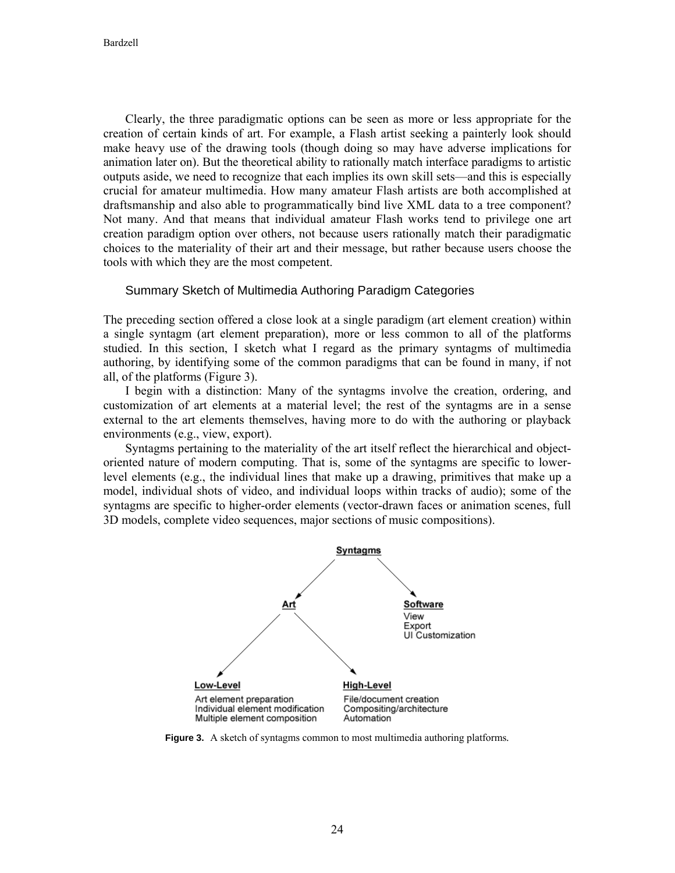Clearly, the three paradigmatic options can be seen as more or less appropriate for the creation of certain kinds of art. For example, a Flash artist seeking a painterly look should make heavy use of the drawing tools (though doing so may have adverse implications for animation later on). But the theoretical ability to rationally match interface paradigms to artistic outputs aside, we need to recognize that each implies its own skill sets—and this is especially crucial for amateur multimedia. How many amateur Flash artists are both accomplished at draftsmanship and also able to programmatically bind live XML data to a tree component? Not many. And that means that individual amateur Flash works tend to privilege one art creation paradigm option over others, not because users rationally match their paradigmatic choices to the materiality of their art and their message, but rather because users choose the tools with which they are the most competent.

#### Summary Sketch of Multimedia Authoring Paradigm Categories

The preceding section offered a close look at a single paradigm (art element creation) within a single syntagm (art element preparation), more or less common to all of the platforms studied. In this section, I sketch what I regard as the primary syntagms of multimedia authoring, by identifying some of the common paradigms that can be found in many, if not all, of the platforms (Figure 3).

I begin with a distinction: Many of the syntagms involve the creation, ordering, and customization of art elements at a material level; the rest of the syntagms are in a sense external to the art elements themselves, having more to do with the authoring or playback environments (e.g., view, export).

Syntagms pertaining to the materiality of the art itself reflect the hierarchical and objectoriented nature of modern computing. That is, some of the syntagms are specific to lowerlevel elements (e.g., the individual lines that make up a drawing, primitives that make up a model, individual shots of video, and individual loops within tracks of audio); some of the syntagms are specific to higher-order elements (vector-drawn faces or animation scenes, full 3D models, complete video sequences, major sections of music compositions).



**Figure 3.** A sketch of syntagms common to most multimedia authoring platforms*.*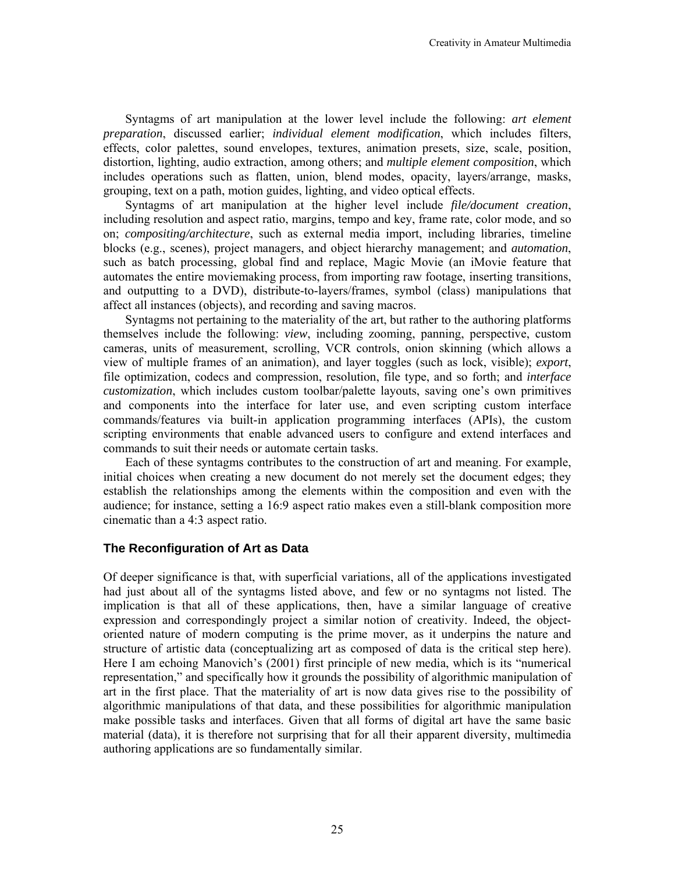Syntagms of art manipulation at the lower level include the following: *art element preparation*, discussed earlier; *individual element modification*, which includes filters, effects, color palettes, sound envelopes, textures, animation presets, size, scale, position, distortion, lighting, audio extraction, among others; and *multiple element composition*, which includes operations such as flatten, union, blend modes, opacity, layers/arrange, masks, grouping, text on a path, motion guides, lighting, and video optical effects.

Syntagms of art manipulation at the higher level include *file/document creation*, including resolution and aspect ratio, margins, tempo and key, frame rate, color mode, and so on; *compositing/architecture*, such as external media import, including libraries, timeline blocks (e.g., scenes), project managers, and object hierarchy management; and *automation*, such as batch processing, global find and replace, Magic Movie (an iMovie feature that automates the entire moviemaking process, from importing raw footage, inserting transitions, and outputting to a DVD), distribute-to-layers/frames, symbol (class) manipulations that affect all instances (objects), and recording and saving macros.

Syntagms not pertaining to the materiality of the art, but rather to the authoring platforms themselves include the following: *view*, including zooming, panning, perspective, custom cameras, units of measurement, scrolling, VCR controls, onion skinning (which allows a view of multiple frames of an animation), and layer toggles (such as lock, visible); *export*, file optimization, codecs and compression, resolution, file type, and so forth; and *interface customization*, which includes custom toolbar/palette layouts, saving one's own primitives and components into the interface for later use, and even scripting custom interface commands/features via built-in application programming interfaces (APIs), the custom scripting environments that enable advanced users to configure and extend interfaces and commands to suit their needs or automate certain tasks.

Each of these syntagms contributes to the construction of art and meaning. For example, initial choices when creating a new document do not merely set the document edges; they establish the relationships among the elements within the composition and even with the audience; for instance, setting a 16:9 aspect ratio makes even a still-blank composition more cinematic than a 4:3 aspect ratio.

## **The Reconfiguration of Art as Data**

Of deeper significance is that, with superficial variations, all of the applications investigated had just about all of the syntagms listed above, and few or no syntagms not listed. The implication is that all of these applications, then, have a similar language of creative expression and correspondingly project a similar notion of creativity. Indeed, the objectoriented nature of modern computing is the prime mover, as it underpins the nature and structure of artistic data (conceptualizing art as composed of data is the critical step here). Here I am echoing Manovich's (2001) first principle of new media, which is its "numerical representation," and specifically how it grounds the possibility of algorithmic manipulation of art in the first place. That the materiality of art is now data gives rise to the possibility of algorithmic manipulations of that data, and these possibilities for algorithmic manipulation make possible tasks and interfaces. Given that all forms of digital art have the same basic material (data), it is therefore not surprising that for all their apparent diversity, multimedia authoring applications are so fundamentally similar.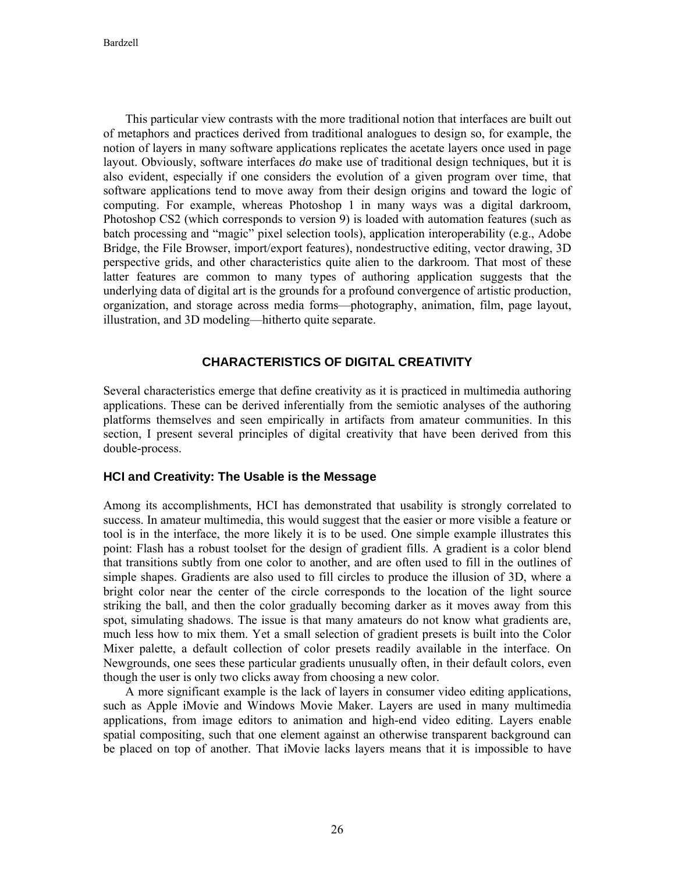Bardzell

This particular view contrasts with the more traditional notion that interfaces are built out of metaphors and practices derived from traditional analogues to design so, for example, the notion of layers in many software applications replicates the acetate layers once used in page layout. Obviously, software interfaces *do* make use of traditional design techniques, but it is also evident, especially if one considers the evolution of a given program over time, that software applications tend to move away from their design origins and toward the logic of computing. For example, whereas Photoshop 1 in many ways was a digital darkroom, Photoshop CS2 (which corresponds to version 9) is loaded with automation features (such as batch processing and "magic" pixel selection tools), application interoperability (e.g., Adobe Bridge, the File Browser, import/export features), nondestructive editing, vector drawing, 3D perspective grids, and other characteristics quite alien to the darkroom. That most of these latter features are common to many types of authoring application suggests that the underlying data of digital art is the grounds for a profound convergence of artistic production, organization, and storage across media forms—photography, animation, film, page layout, illustration, and 3D modeling—hitherto quite separate.

## **CHARACTERISTICS OF DIGITAL CREATIVITY**

Several characteristics emerge that define creativity as it is practiced in multimedia authoring applications. These can be derived inferentially from the semiotic analyses of the authoring platforms themselves and seen empirically in artifacts from amateur communities. In this section, I present several principles of digital creativity that have been derived from this double-process.

## **HCI and Creativity: The Usable is the Message**

Among its accomplishments, HCI has demonstrated that usability is strongly correlated to success. In amateur multimedia, this would suggest that the easier or more visible a feature or tool is in the interface, the more likely it is to be used. One simple example illustrates this point: Flash has a robust toolset for the design of gradient fills. A gradient is a color blend that transitions subtly from one color to another, and are often used to fill in the outlines of simple shapes. Gradients are also used to fill circles to produce the illusion of 3D, where a bright color near the center of the circle corresponds to the location of the light source striking the ball, and then the color gradually becoming darker as it moves away from this spot, simulating shadows. The issue is that many amateurs do not know what gradients are, much less how to mix them. Yet a small selection of gradient presets is built into the Color Mixer palette, a default collection of color presets readily available in the interface. On Newgrounds, one sees these particular gradients unusually often, in their default colors, even though the user is only two clicks away from choosing a new color.

A more significant example is the lack of layers in consumer video editing applications, such as Apple iMovie and Windows Movie Maker. Layers are used in many multimedia applications, from image editors to animation and high-end video editing. Layers enable spatial compositing, such that one element against an otherwise transparent background can be placed on top of another. That iMovie lacks layers means that it is impossible to have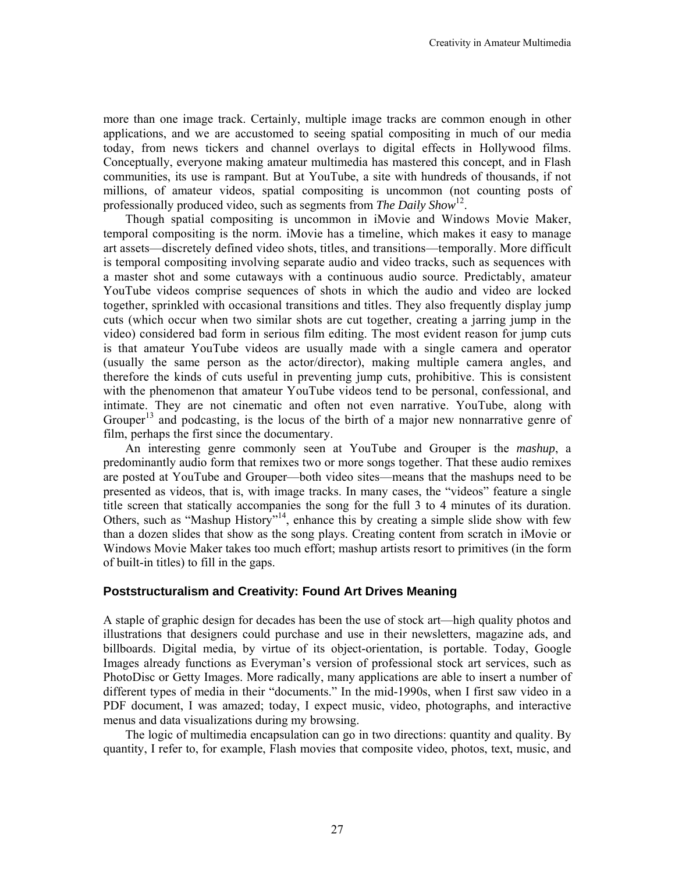more than one image track. Certainly, multiple image tracks are common enough in other applications, and we are accustomed to seeing spatial compositing in much of our media today, from news tickers and channel overlays to digital effects in Hollywood films. Conceptually, everyone making amateur multimedia has mastered this concept, and in Flash communities, its use is rampant. But at YouTube, a site with hundreds of thousands, if not millions, of amateur videos, spatial compositing is uncommon (not counting posts of professionally produced video, such as segments from *The Daily Show*12.

Though spatial compositing is uncommon in iMovie and Windows Movie Maker, temporal compositing is the norm. iMovie has a timeline, which makes it easy to manage art assets—discretely defined video shots, titles, and transitions—temporally. More difficult is temporal compositing involving separate audio and video tracks, such as sequences with a master shot and some cutaways with a continuous audio source. Predictably, amateur YouTube videos comprise sequences of shots in which the audio and video are locked together, sprinkled with occasional transitions and titles. They also frequently display jump cuts (which occur when two similar shots are cut together, creating a jarring jump in the video) considered bad form in serious film editing. The most evident reason for jump cuts is that amateur YouTube videos are usually made with a single camera and operator (usually the same person as the actor/director), making multiple camera angles, and therefore the kinds of cuts useful in preventing jump cuts, prohibitive. This is consistent with the phenomenon that amateur YouTube videos tend to be personal, confessional, and intimate. They are not cinematic and often not even narrative. YouTube, along with Grouper<sup>13</sup> and podcasting, is the locus of the birth of a major new nonnarrative genre of film, perhaps the first since the documentary.

An interesting genre commonly seen at YouTube and Grouper is the *mashup*, a predominantly audio form that remixes two or more songs together. That these audio remixes are posted at YouTube and Grouper—both video sites—means that the mashups need to be presented as videos, that is, with image tracks. In many cases, the "videos" feature a single title screen that statically accompanies the song for the full 3 to 4 minutes of its duration. Others, such as "Mashup History"<sup>14</sup>, enhance this by creating a simple slide show with few than a dozen slides that show as the song plays. Creating content from scratch in iMovie or Windows Movie Maker takes too much effort; mashup artists resort to primitives (in the form of built-in titles) to fill in the gaps.

## **Poststructuralism and Creativity: Found Art Drives Meaning**

A staple of graphic design for decades has been the use of stock art—high quality photos and illustrations that designers could purchase and use in their newsletters, magazine ads, and billboards. Digital media, by virtue of its object-orientation, is portable. Today, Google Images already functions as Everyman's version of professional stock art services, such as PhotoDisc or Getty Images. More radically, many applications are able to insert a number of different types of media in their "documents." In the mid-1990s, when I first saw video in a PDF document, I was amazed; today, I expect music, video, photographs, and interactive menus and data visualizations during my browsing.

The logic of multimedia encapsulation can go in two directions: quantity and quality. By quantity, I refer to, for example, Flash movies that composite video, photos, text, music, and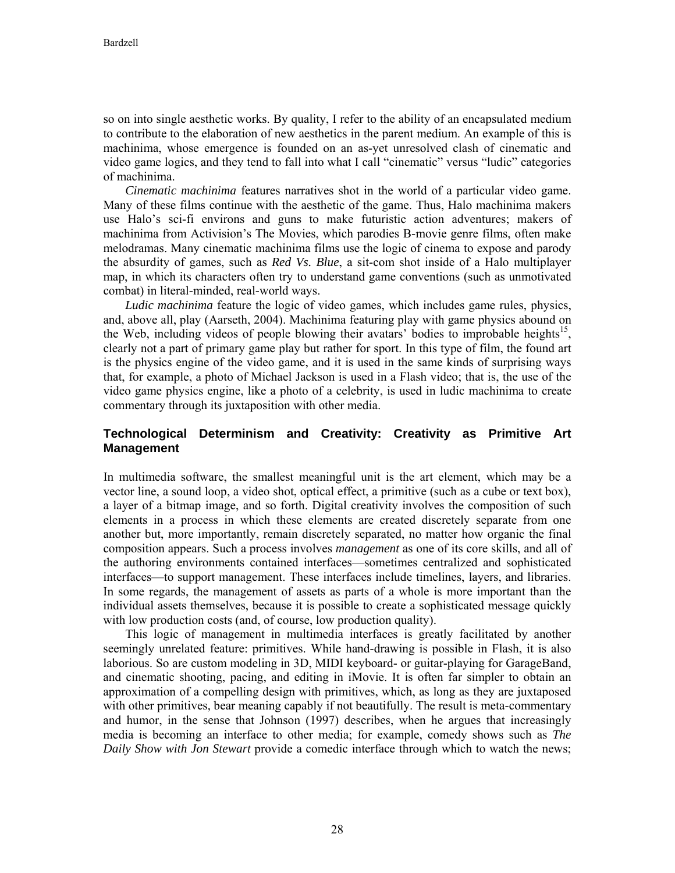so on into single aesthetic works. By quality, I refer to the ability of an encapsulated medium to contribute to the elaboration of new aesthetics in the parent medium. An example of this is machinima, whose emergence is founded on an as-yet unresolved clash of cinematic and video game logics, and they tend to fall into what I call "cinematic" versus "ludic" categories of machinima.

*Cinematic machinima* features narratives shot in the world of a particular video game. Many of these films continue with the aesthetic of the game. Thus, Halo machinima makers use Halo's sci-fi environs and guns to make futuristic action adventures; makers of machinima from Activision's The Movies, which parodies B-movie genre films, often make melodramas. Many cinematic machinima films use the logic of cinema to expose and parody the absurdity of games, such as *Red Vs. Blue*, a sit-com shot inside of a Halo multiplayer map, in which its characters often try to understand game conventions (such as unmotivated combat) in literal-minded, real-world ways.

*Ludic machinima* feature the logic of video games, which includes game rules, physics, and, above all, play (Aarseth, 2004). Machinima featuring play with game physics abound on the Web, including videos of people blowing their avatars' bodies to improbable heights<sup>15</sup>. clearly not a part of primary game play but rather for sport. In this type of film, the found art is the physics engine of the video game, and it is used in the same kinds of surprising ways that, for example, a photo of Michael Jackson is used in a Flash video; that is, the use of the video game physics engine, like a photo of a celebrity, is used in ludic machinima to create commentary through its juxtaposition with other media.

## **Technological Determinism and Creativity: Creativity as Primitive Art Management**

In multimedia software, the smallest meaningful unit is the art element, which may be a vector line, a sound loop, a video shot, optical effect, a primitive (such as a cube or text box), a layer of a bitmap image, and so forth. Digital creativity involves the composition of such elements in a process in which these elements are created discretely separate from one another but, more importantly, remain discretely separated, no matter how organic the final composition appears. Such a process involves *management* as one of its core skills, and all of the authoring environments contained interfaces—sometimes centralized and sophisticated interfaces—to support management. These interfaces include timelines, layers, and libraries. In some regards, the management of assets as parts of a whole is more important than the individual assets themselves, because it is possible to create a sophisticated message quickly with low production costs (and, of course, low production quality).

This logic of management in multimedia interfaces is greatly facilitated by another seemingly unrelated feature: primitives. While hand-drawing is possible in Flash, it is also laborious. So are custom modeling in 3D, MIDI keyboard- or guitar-playing for GarageBand, and cinematic shooting, pacing, and editing in iMovie. It is often far simpler to obtain an approximation of a compelling design with primitives, which, as long as they are juxtaposed with other primitives, bear meaning capably if not beautifully. The result is meta-commentary and humor, in the sense that Johnson (1997) describes, when he argues that increasingly media is becoming an interface to other media; for example, comedy shows such as *The Daily Show with Jon Stewart* provide a comedic interface through which to watch the news;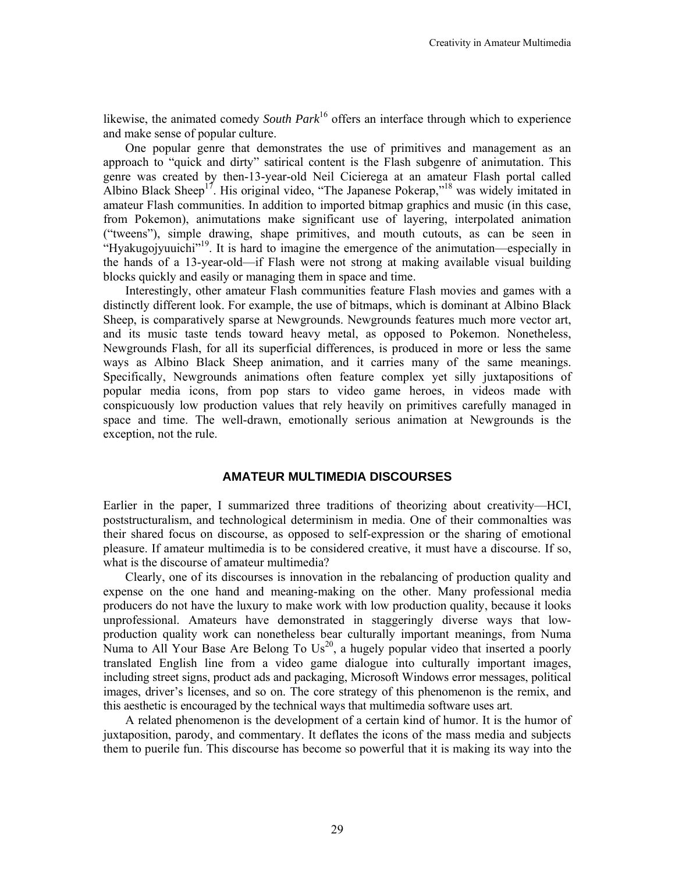likewise, the animated comedy *South Park*<sup>16</sup> offers an interface through which to experience and make sense of popular culture.

One popular genre that demonstrates the use of primitives and management as an approach to "quick and dirty" satirical content is the Flash subgenre of animutation. This genre was created by then-13-year-old Neil Cicierega at an amateur Flash portal called Albino Black Sheep<sup>17</sup>. His original video, "The Japanese Pokerap,"<sup>18</sup> was widely imitated in amateur Flash communities. In addition to imported bitmap graphics and music (in this case, from Pokemon), animutations make significant use of layering, interpolated animation ("tweens"), simple drawing, shape primitives, and mouth cutouts, as can be seen in "Hyakugojyuuichi"19. It is hard to imagine the emergence of the animutation—especially in the hands of a 13-year-old—if Flash were not strong at making available visual building blocks quickly and easily or managing them in space and time.

Interestingly, other amateur Flash communities feature Flash movies and games with a distinctly different look. For example, the use of bitmaps, which is dominant at Albino Black Sheep, is comparatively sparse at Newgrounds. Newgrounds features much more vector art, and its music taste tends toward heavy metal, as opposed to Pokemon. Nonetheless, Newgrounds Flash, for all its superficial differences, is produced in more or less the same ways as Albino Black Sheep animation, and it carries many of the same meanings. Specifically, Newgrounds animations often feature complex yet silly juxtapositions of popular media icons, from pop stars to video game heroes, in videos made with conspicuously low production values that rely heavily on primitives carefully managed in space and time. The well-drawn, emotionally serious animation at Newgrounds is the exception, not the rule.

#### **AMATEUR MULTIMEDIA DISCOURSES**

Earlier in the paper, I summarized three traditions of theorizing about creativity—HCI, poststructuralism, and technological determinism in media. One of their commonalties was their shared focus on discourse, as opposed to self-expression or the sharing of emotional pleasure. If amateur multimedia is to be considered creative, it must have a discourse. If so, what is the discourse of amateur multimedia?

Clearly, one of its discourses is innovation in the rebalancing of production quality and expense on the one hand and meaning-making on the other. Many professional media producers do not have the luxury to make work with low production quality, because it looks unprofessional. Amateurs have demonstrated in staggeringly diverse ways that lowproduction quality work can nonetheless bear culturally important meanings, from Numa Numa to All Your Base Are Belong To  $Us^{20}$ , a hugely popular video that inserted a poorly translated English line from a video game dialogue into culturally important images, including street signs, product ads and packaging, Microsoft Windows error messages, political images, driver's licenses, and so on. The core strategy of this phenomenon is the remix, and this aesthetic is encouraged by the technical ways that multimedia software uses art.

A related phenomenon is the development of a certain kind of humor. It is the humor of juxtaposition, parody, and commentary. It deflates the icons of the mass media and subjects them to puerile fun. This discourse has become so powerful that it is making its way into the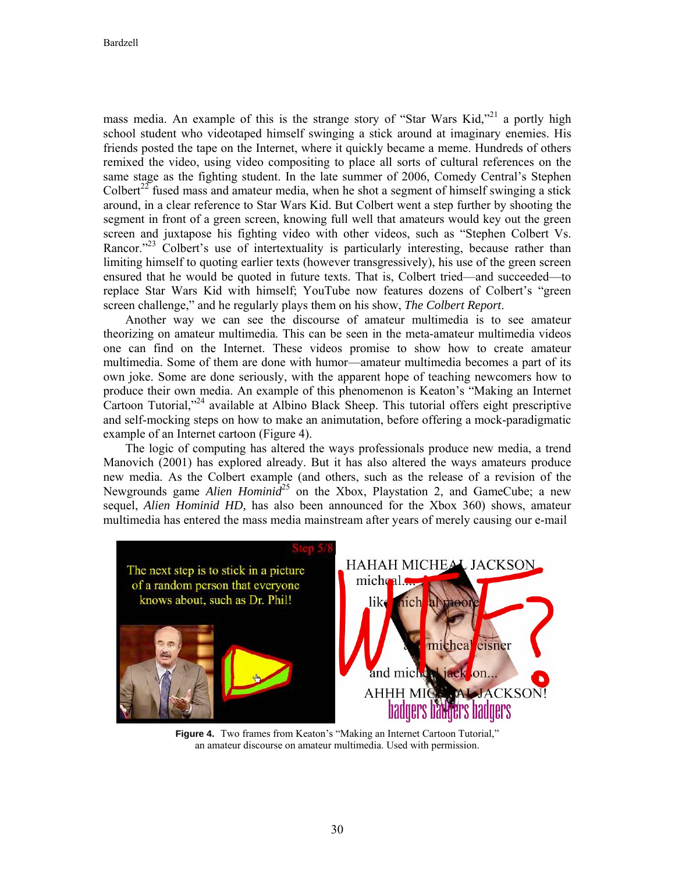mass media. An example of this is the strange story of "Star Wars Kid,"<sup>21</sup> a portly high school student who videotaped himself swinging a stick around at imaginary enemies. His friends posted the tape on the Internet, where it quickly became a meme. Hundreds of others remixed the video, using video compositing to place all sorts of cultural references on the same stage as the fighting student. In the late summer of 2006, Comedy Central's Stephen Colbert<sup>22</sup> fused mass and amateur media, when he shot a segment of himself swinging a stick around, in a clear reference to Star Wars Kid. But Colbert went a step further by shooting the segment in front of a green screen, knowing full well that amateurs would key out the green screen and juxtapose his fighting video with other videos, such as "Stephen Colbert Vs. Rancor. $123$  Colbert's use of intertextuality is particularly interesting, because rather than limiting himself to quoting earlier texts (however transgressively), his use of the green screen ensured that he would be quoted in future texts. That is, Colbert tried—and succeeded—to replace Star Wars Kid with himself; YouTube now features dozens of Colbert's "green screen challenge," and he regularly plays them on his show, *The Colbert Report*.

Another way we can see the discourse of amateur multimedia is to see amateur theorizing on amateur multimedia. This can be seen in the meta-amateur multimedia videos one can find on the Internet. These videos promise to show how to create amateur multimedia. Some of them are done with humor—amateur multimedia becomes a part of its own joke. Some are done seriously, with the apparent hope of teaching newcomers how to produce their own media. An example of this phenomenon is Keaton's "Making an Internet Cartoon Tutorial,"24 available at Albino Black Sheep. This tutorial offers eight prescriptive and self-mocking steps on how to make an animutation, before offering a mock-paradigmatic example of an Internet cartoon (Figure 4).

The logic of computing has altered the ways professionals produce new media, a trend Manovich (2001) has explored already. But it has also altered the ways amateurs produce new media. As the Colbert example (and others, such as the release of a revision of the Newgrounds game *Alien Hominid*<sup>25</sup> on the Xbox, Playstation 2, and GameCube; a new sequel, *Alien Hominid HD,* has also been announced for the Xbox 360) shows, amateur multimedia has entered the mass media mainstream after years of merely causing our e-mail



**Figure 4.** Two frames from Keaton's "Making an Internet Cartoon Tutorial," an amateur discourse on amateur multimedia. Used with permission.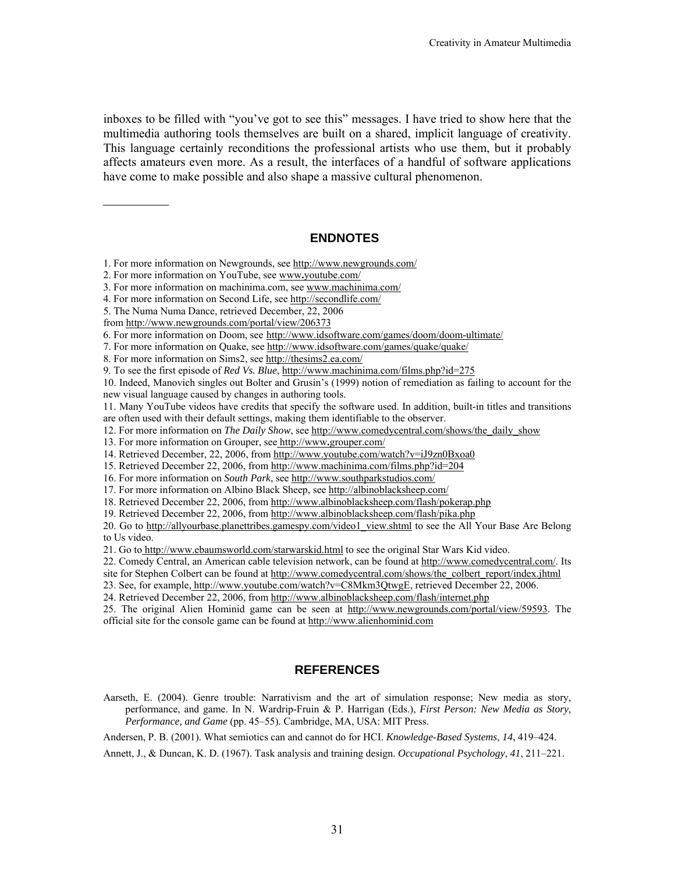inboxes to be filled with "you've got to see this" messages. I have tried to show here that the multimedia authoring tools themselves are built on a shared, implicit language of creativity. This language certainly reconditions the professional artists who use them, but it probably affects amateurs even more. As a result, the interfaces of a handful of software applications have come to make possible and also shape a massive cultural phenomenon.

## **ENDNOTES**

- 1. For more information on Newgrounds, see http://www.newgrounds.com/
- 2. For more information on YouTube, see www**.**youtube.com/
- 3. For more information on machinima.com, see www.machinima.com/
- 4. For more information on Second Life, see http://secondlife.com/
- 5. The Numa Numa Dance, retrieved December, 22, 2006
- from http://www.newgrounds.com/portal/view/206373
- 6. For more information on Doom, see http://www.idsoftware.com/games/doom/doom-ultimate/
- 7. For more information on Quake, see http://www.idsoftware.com/games/quake/quake/
- 8. For more information on Sims2, see http://thesims2.ea.com/
- 9. To see the first episode of *Red Vs. Blue*, http://www.machinima.com/films.php?id=275

10. Indeed, Manovich singles out Bolter and Grusin's (1999) notion of remediation as failing to account for the new visual language caused by changes in authoring tools.

11. Many YouTube videos have credits that specify the software used. In addition, built-in titles and transitions are often used with their default settings, making them identifiable to the observer.

- 12. For more information on *The Daily Show*, see http://www.comedycentral.com/shows/the\_daily\_show
- 13. For more information on Grouper, see http://www**.**grouper.com/
- 14. Retrieved December, 22, 2006, from http://www.youtube.com/watch?v=iJ9zn0Bxoa0
- 15. Retrieved December 22, 2006, from http://www.machinima.com/films.php?id=204
- 16. For more information on *South Park*, see http://www.southparkstudios.com/
- 17. For more information on Albino Black Sheep, see http://albinoblacksheep.com/
- 18. Retrieved December 22, 2006, from http://www.albinoblacksheep.com/flash/pokerap.php
- 19. Retrieved December 22, 2006, from http://www.albinoblacksheep.com/flash/pika.php

20. Go to http://allyourbase.planettribes.gamespy.com/video1\_view.shtml to see the All Your Base Are Belong to Us video.

21. Go to http://www.ebaumsworld.com/starwarskid.html to see the original Star Wars Kid video.

22. Comedy Central, an American cable television network, can be found at http://www.comedycentral.com/. Its

site for Stephen Colbert can be found at http://www.comedycentral.com/shows/the\_colbert\_report/index.jhtml

23. See, for example, http://www.youtube.com/watch?v=C8Mkm3QtwgE, retrieved December 22, 2006.

24. Retrieved December 22, 2006, from http://www.albinoblacksheep.com/flash/internet.php

25. The original Alien Hominid game can be seen at http://www.newgrounds.com/portal/view/59593. The official site for the console game can be found at http://www.alienhominid.com

#### **REFERENCES**

Aarseth, E. (2004). Genre trouble: Narrativism and the art of simulation response; New media as story, performance, and game. In N. Wardrip-Fruin & P. Harrigan (Eds.), *First Person: New Media as Story, Performance, and Game* (pp. 45–55). Cambridge, MA, USA: MIT Press.

Andersen, P. B. (2001). What semiotics can and cannot do for HCI. *Knowledge-Based Systems*, *14*, 419–424.

Annett, J., & Duncan, K. D. (1967). Task analysis and training design. *Occupational Psychology*, *41*, 211–221.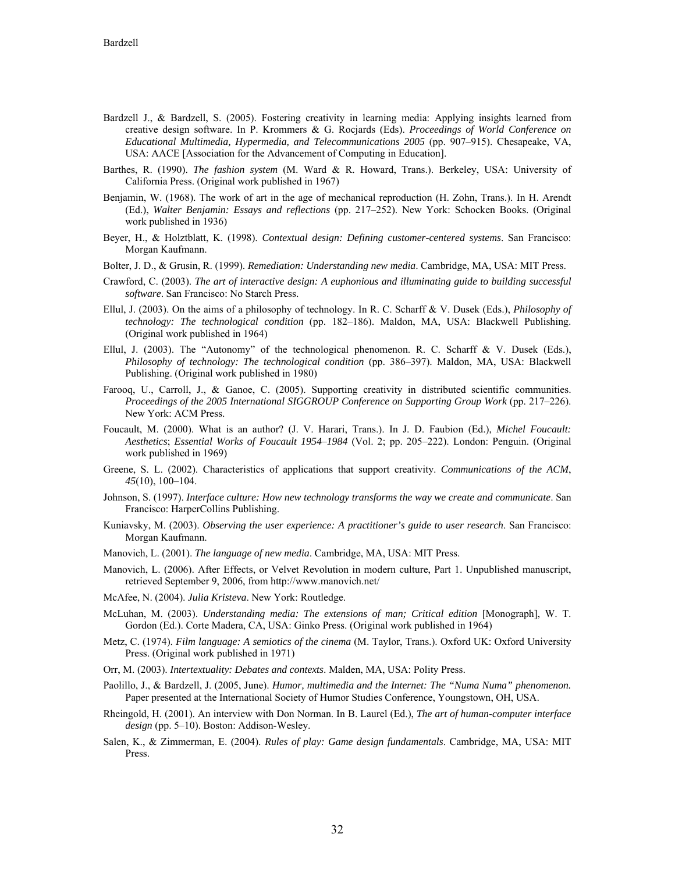- Bardzell J., & Bardzell, S. (2005). Fostering creativity in learning media: Applying insights learned from creative design software. In P. Krommers & G. Rocjards (Eds). *Proceedings of World Conference on Educational Multimedia, Hypermedia, and Telecommunications 2005* (pp. 907–915). Chesapeake, VA, USA: AACE [Association for the Advancement of Computing in Education].
- Barthes, R. (1990). *The fashion system* (M. Ward & R. Howard, Trans.). Berkeley, USA: University of California Press. (Original work published in 1967)
- Benjamin, W. (1968). The work of art in the age of mechanical reproduction (H. Zohn, Trans.). In H. Arendt (Ed.), *Walter Benjamin: Essays and reflections* (pp. 217–252). New York: Schocken Books. (Original work published in 1936)
- Beyer, H., & Holztblatt, K. (1998). *Contextual design: Defining customer-centered systems*. San Francisco: Morgan Kaufmann.
- Bolter, J. D., & Grusin, R. (1999). *Remediation: Understanding new media*. Cambridge, MA, USA: MIT Press.
- Crawford, C. (2003). *The art of interactive design: A euphonious and illuminating guide to building successful software*. San Francisco: No Starch Press.
- Ellul, J. (2003). On the aims of a philosophy of technology. In R. C. Scharff & V. Dusek (Eds.), *Philosophy of technology: The technological condition* (pp. 182–186). Maldon, MA, USA: Blackwell Publishing. (Original work published in 1964)
- Ellul, J. (2003). The "Autonomy" of the technological phenomenon. R. C. Scharff & V. Dusek (Eds.), *Philosophy of technology: The technological condition* (pp. 386–397). Maldon, MA, USA: Blackwell Publishing. (Original work published in 1980)
- Farooq, U., Carroll, J., & Ganoe, C. (2005). Supporting creativity in distributed scientific communities. *Proceedings of the 2005 International SIGGROUP Conference on Supporting Group Work* (pp. 217–226). New York: ACM Press.
- Foucault, M. (2000). What is an author? (J. V. Harari, Trans.). In J. D. Faubion (Ed.), *Michel Foucault: Aesthetics*; *Essential Works of Foucault 1954*–*1984* (Vol. 2; pp. 205–222). London: Penguin. (Original work published in 1969)
- Greene, S. L. (2002). Characteristics of applications that support creativity. *Communications of the ACM*, *45*(10), 100–104.
- Johnson, S. (1997). *Interface culture: How new technology transforms the way we create and communicate*. San Francisco: HarperCollins Publishing.
- Kuniavsky, M. (2003). *Observing the user experience: A practitioner's guide to user research*. San Francisco: Morgan Kaufmann.
- Manovich, L. (2001). *The language of new media*. Cambridge, MA, USA: MIT Press.
- Manovich, L. (2006). After Effects, or Velvet Revolution in modern culture, Part 1. Unpublished manuscript, retrieved September 9, 2006, from http://www.manovich.net/
- McAfee, N. (2004). *Julia Kristeva*. New York: Routledge.
- McLuhan, M. (2003). *Understanding media: The extensions of man; Critical edition* [Monograph], W. T. Gordon (Ed.). Corte Madera, CA, USA: Ginko Press. (Original work published in 1964)
- Metz, C. (1974). *Film language: A semiotics of the cinema* (M. Taylor, Trans.). Oxford UK: Oxford University Press. (Original work published in 1971)
- Orr, M. (2003). *Intertextuality: Debates and contexts*. Malden, MA, USA: Polity Press.
- Paolillo, J., & Bardzell, J. (2005, June). *Humor, multimedia and the Internet: The "Numa Numa" phenomenon.* Paper presented at the International Society of Humor Studies Conference, Youngstown, OH, USA.
- Rheingold, H. (2001). An interview with Don Norman. In B. Laurel (Ed.), *The art of human-computer interface design* (pp. 5–10). Boston: Addison-Wesley.
- Salen, K., & Zimmerman, E. (2004). *Rules of play: Game design fundamentals*. Cambridge, MA, USA: MIT Press.